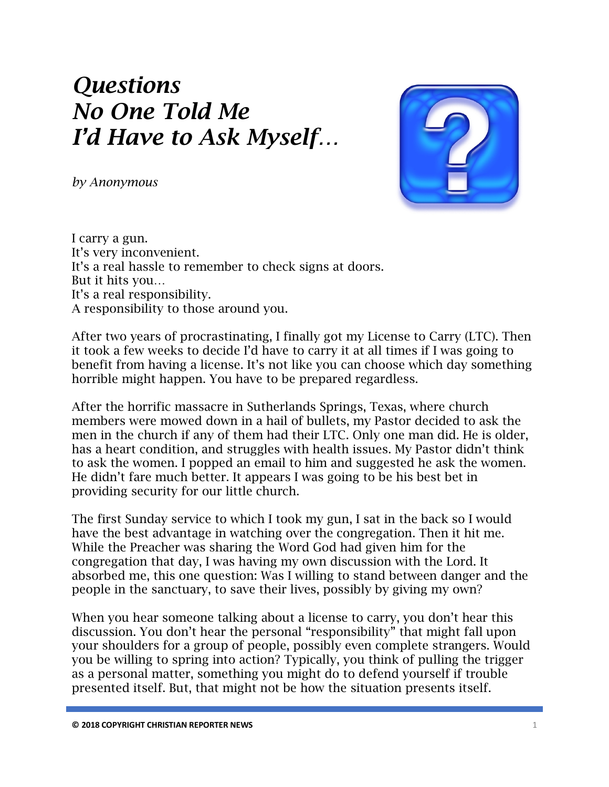## *Questions No One Told Me I'd Have to Ask Myself…*

*by Anonymous*



I carry a gun. It's very inconvenient. It's a real hassle to remember to check signs at doors. But it hits you… It's a real responsibility. A responsibility to those around you.

After two years of procrastinating, I finally got my License to Carry (LTC). Then it took a few weeks to decide I'd have to carry it at all times if I was going to benefit from having a license. It's not like you can choose which day something horrible might happen. You have to be prepared regardless.

After the horrific massacre in Sutherlands Springs, Texas, where church members were mowed down in a hail of bullets, my Pastor decided to ask the men in the church if any of them had their LTC. Only one man did. He is older, has a heart condition, and struggles with health issues. My Pastor didn't think to ask the women. I popped an email to him and suggested he ask the women. He didn't fare much better. It appears I was going to be his best bet in providing security for our little church.

The first Sunday service to which I took my gun, I sat in the back so I would have the best advantage in watching over the congregation. Then it hit me. While the Preacher was sharing the Word God had given him for the congregation that day, I was having my own discussion with the Lord. It absorbed me, this one question: Was I willing to stand between danger and the people in the sanctuary, to save their lives, possibly by giving my own?

When you hear someone talking about a license to carry, you don't hear this discussion. You don't hear the personal "responsibility" that might fall upon your shoulders for a group of people, possibly even complete strangers. Would you be willing to spring into action? Typically, you think of pulling the trigger as a personal matter, something you might do to defend yourself if trouble presented itself. But, that might not be how the situation presents itself.